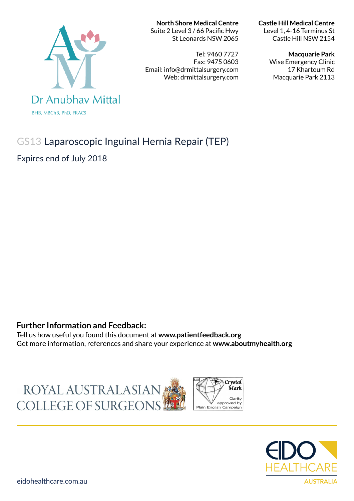# Dr Anubhay Mittal **BHB, MBChB, PhD, FRACS**

**North Shore Medical Centre** 

Suite 2 Level 3 / 66 Pacific Hwy St Leonards NSW 2065

Tel: 9460 7727 Fax: 9475 0603 Email: info@drmittalsurgery.com Web: drmittalsurgery.com

**Castle Hill Medical Centre** 

Level 1, 4-16 Terminus St Castle Hill NSW 2154

**Macquarie Park** 

Wise Emergency Clinic 17 Khartoum Rd Macquarie Park 2113

# GS13 Laparoscopic Inguinal Hernia Repair (TEP)

Expires end of July 2018

### **Further Information and Feedback:**

Tell us how useful you found this document at **www.patientfeedback.org** Get more information, references and share your experience at **www.aboutmyhealth.org**

ROYAL AUSTRALASIAN COLLEGE OF SURGEONS



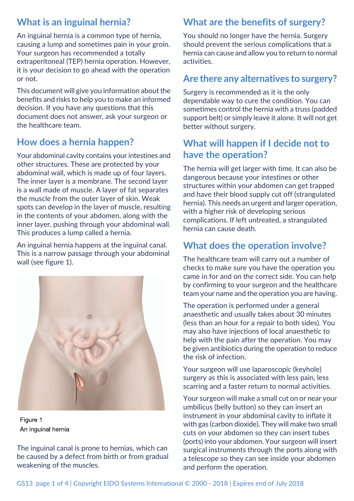# **What is an inguinal hernia?**

An inguinal hernia is a common type of hernia, causing a lump and sometimes pain in your groin. Your surgeon has recommended a totally extraperitoneal (TEP) hernia operation. However, it is your decision to go ahead with the operation or not.

This document will give you information about the benefits and risks to help you to make an informed decision. If you have any questions that this document does not answer, ask your surgeon or the healthcare team.

## **How does a hernia happen?**

Your abdominal cavity contains your intestines and other structures. These are protected by your abdominal wall, which is made up of four layers. The inner layer is a membrane. The second layer is a wall made of muscle. A layer of fat separates the muscle from the outer layer of skin. Weak spots can develop in the layer of muscle, resulting in the contents of your abdomen, along with the inner layer, pushing through your abdominal wall. This produces a lump called a hernia.

An inguinal hernia happens at the inguinal canal. This is a narrow passage through your abdominal wall (see figure 1).



Figure 1 An inquinal hernia

The inguinal canal is prone to hernias, which can be caused by a defect from birth or from gradual weakening of the muscles.

# **What are the benefits of surgery?**

You should no longer have the hernia. Surgery should prevent the serious complications that a hernia can cause and allow you to return to normal activities.

# **Are there any alternatives to surgery?**

Surgery is recommended as it is the only dependable way to cure the condition. You can sometimes control the hernia with a truss (padded support belt) or simply leave it alone. It will not get better without surgery.

# **What will happen if I decide not to have the operation?**

The hernia will get larger with time. It can also be dangerous because your intestines or other structures within your abdomen can get trapped and have their blood supply cut off (strangulated hernia). This needs an urgent and larger operation, with a higher risk of developing serious complications. If left untreated, a strangulated hernia can cause death.

# **What does the operation involve?**

The healthcare team will carry out a number of checks to make sure you have the operation you came in for and on the correct side. You can help by confirming to your surgeon and the healthcare team your name and the operation you are having.

The operation is performed under a general anaesthetic and usually takes about 30 minutes (less than an hour for a repair to both sides). You may also have injections of local anaesthetic to help with the pain after the operation. You may be given antibiotics during the operation to reduce the risk of infection.

Your surgeon will use laparoscopic (keyhole) surgery as this is associated with less pain, less scarring and a faster return to normal activities.

Your surgeon will make a small cut on or near your umbilicus (belly button) so they can insert an instrument in your abdominal cavity to inflate it with gas (carbon dioxide). They will make two small cuts on your abdomen so they can insert tubes (ports) into your abdomen. Your surgeon will insert surgical instruments through the ports along with a telescope so they can see inside your abdomen and perform the operation.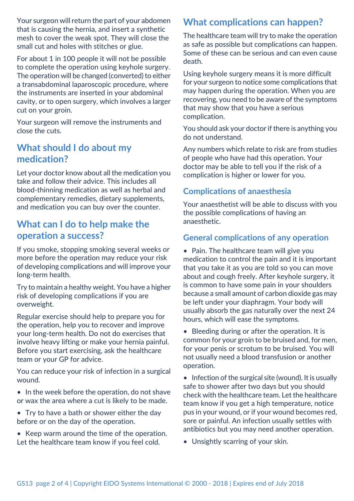Your surgeon will return the part of your abdomen that is causing the hernia, and insert a synthetic mesh to cover the weak spot. They will close the small cut and holes with stitches or glue.

For about 1 in 100 people it will not be possible to complete the operation using keyhole surgery. The operation will be changed (converted) to either a transabdominal laparoscopic procedure, where the instruments are inserted in your abdominal cavity, or to open surgery, which involves a larger cut on your groin.

Your surgeon will remove the instruments and close the cuts.

## **What should I do about my medication?**

Let your doctor know about all the medication you take and follow their advice. This includes all blood-thinning medication as well as herbal and complementary remedies, dietary supplements, and medication you can buy over the counter.

## **What can I do to help make the operation a success?**

If you smoke, stopping smoking several weeks or more before the operation may reduce your risk of developing complications and will improve your long-term health.

Try to maintain a healthy weight. You have a higher risk of developing complications if you are overweight.

Regular exercise should help to prepare you for the operation, help you to recover and improve your long-term health. Do not do exercises that involve heavy lifting or make your hernia painful. Before you start exercising, ask the healthcare team or your GP for advice.

You can reduce your risk of infection in a surgical wound.

- In the week before the operation, do not shave or wax the area where a cut is likely to be made.
- Try to have a bath or shower either the day before or on the day of the operation.
- Keep warm around the time of the operation. Let the healthcare team know if you feel cold.

# **What complications can happen?**

The healthcare team will try to make the operation as safe as possible but complications can happen. Some of these can be serious and can even cause death.

Using keyhole surgery means it is more difficult for your surgeon to notice some complications that may happen during the operation. When you are recovering, you need to be aware of the symptoms that may show that you have a serious complication.

You should ask your doctor if there is anything you do not understand.

Any numbers which relate to risk are from studies of people who have had this operation. Your doctor may be able to tell you if the risk of a complication is higher or lower for you.

## **Complications of anaesthesia**

Your anaesthetist will be able to discuss with you the possible complications of having an anaesthetic.

## **General complications of any operation**

• Pain. The healthcare team will give you medication to control the pain and it is important that you take it as you are told so you can move about and cough freely. After keyhole surgery, it is common to have some pain in your shoulders because a small amount of carbon dioxide gas may be left under your diaphragm. Your body will usually absorb the gas naturally over the next 24 hours, which will ease the symptoms.

• Bleeding during or after the operation. It is common for your groin to be bruised and, for men, for your penis or scrotum to be bruised. You will not usually need a blood transfusion or another operation.

• Infection of the surgical site (wound). It is usually safe to shower after two days but you should check with the healthcare team. Let the healthcare team know if you get a high temperature, notice pus in your wound, or if your wound becomes red, sore or painful. An infection usually settles with antibiotics but you may need another operation.

• Unsightly scarring of your skin.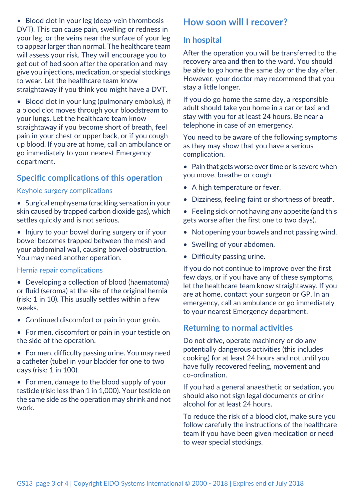• Blood clot in your leg (deep-vein thrombosis -DVT). This can cause pain, swelling or redness in your leg, or the veins near the surface of your leg to appear larger than normal. The healthcare team will assess your risk. They will encourage you to get out of bed soon after the operation and may give you injections, medication, or special stockings to wear. Let the healthcare team know straightaway if you think you might have a DVT.

• Blood clot in your lung (pulmonary embolus), if a blood clot moves through your bloodstream to your lungs. Let the healthcare team know straightaway if you become short of breath, feel pain in your chest or upper back, or if you cough up blood. If you are at home, call an ambulance or go immediately to your nearest Emergency department.

#### **Specific complications of this operation**

#### Keyhole surgery complications

- Surgical emphysema (crackling sensation in your skin caused by trapped carbon dioxide gas), which settles quickly and is not serious.
- Injury to your bowel during surgery or if your bowel becomes trapped between the mesh and your abdominal wall, causing bowel obstruction. You may need another operation.

#### Hernia repair complications

- Developing a collection of blood (haematoma) or fluid (seroma) at the site of the original hernia (risk: 1 in 10). This usually settles within a few weeks.
- Continued discomfort or pain in your groin.
- For men, discomfort or pain in your testicle on the side of the operation.
- For men, difficulty passing urine. You may need a catheter (tube) in your bladder for one to two days (risk: 1 in 100).
- For men, damage to the blood supply of your testicle (risk: less than 1 in 1,000). Your testicle on the same side as the operation may shrink and not work.

## **How soon will I recover?**

#### **In hospital**

After the operation you will be transferred to the recovery area and then to the ward. You should be able to go home the same day or the day after. However, your doctor may recommend that you stay a little longer.

If you do go home the same day, a responsible adult should take you home in a car or taxi and stay with you for at least 24 hours. Be near a telephone in case of an emergency.

You need to be aware of the following symptoms as they may show that you have a serious complication.

- $\bullet$  Pain that gets worse over time or is severe when you move, breathe or cough.
- A high temperature or fever.
- Dizziness, feeling faint or shortness of breath.
- Feeling sick or not having any appetite (and this gets worse after the first one to two days).
- Not opening your bowels and not passing wind.
- Swelling of your abdomen.
- Difficulty passing urine.

If you do not continue to improve over the first few days, or if you have any of these symptoms, let the healthcare team know straightaway. If you are at home, contact your surgeon or GP. In an emergency, call an ambulance or go immediately to your nearest Emergency department.

#### **Returning to normal activities**

Do not drive, operate machinery or do any potentially dangerous activities (this includes cooking) for at least 24 hours and not until you have fully recovered feeling, movement and co-ordination.

If you had a general anaesthetic or sedation, you should also not sign legal documents or drink alcohol for at least 24 hours.

To reduce the risk of a blood clot, make sure you follow carefully the instructions of the healthcare team if you have been given medication or need to wear special stockings.